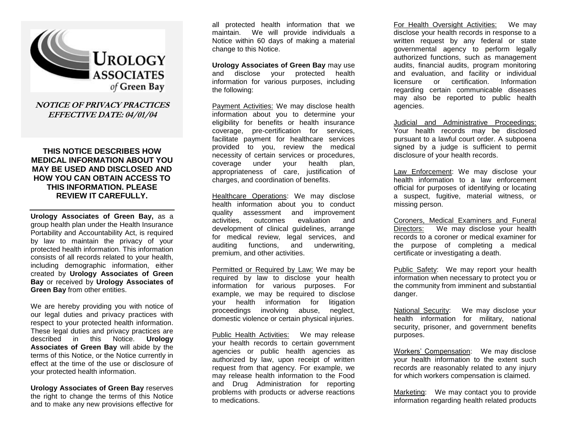

**NOTICE OF PRIVACY PRACTICES EFFECTIVE DATE: 04/01/04**

## **THIS NOTICE DESCRIBES HOW MEDICAL INFORMATION ABOUT YOU MAY BE USED AND DISCLOSED AND HOW YOU CAN OBTAIN ACCESS TO THIS INFORMATION. PLEASE REVIEW IT CAREFULLY.**

**Urology Associates of Green Bay,** as a group health plan under the Health Insurance Portability and Accountability Act, is required by law to maintain the privacy of your protected health information. This information consists of all records related to your health, including demographic information, either created by **Urology Associates of Green Bay** or received by **Urology Associates of Green Bay** from other entities.

We are hereby providing you with notice of our legal duties and privacy practices with respect to your protected health information. These legal duties and privacy practices are described in this Notice. **Urology Associates of Green Bay** will abide by the terms of this Notice, or the Notice currently in effect at the time of the use or disclosure of your protected health information.

**Urology Associates of Green Bay** reserves the right to change the terms of this Notice and to make any new provisions effective for all protected health information that we maintain. We will provide individuals a Notice within 60 days of making a material change to this Notice.

**Urology Associates of Green Bay** may use and disclose your protected health information for various purposes, including the following:

Payment Activities: We may disclose health information about you to determine your eligibility for benefits or health insurance coverage, pre-certification for services, facilitate payment for healthcare services provided to you, review the medical necessity of certain services or procedures, coverage under your health plan, appropriateness of care, justification of charges, and coordination of benefits.

Healthcare Operations: We may disclose health information about you to conduct quality assessment and improvement activities, outcomes evaluation and development of clinical guidelines, arrange for medical review, legal services, and auditing functions, and underwriting, premium, and other activities.

Permitted or Required by Law: We may be required by law to disclose your health information for various purposes. For example, we may be required to disclose your health information for litigation proceedings involving abuse, neglect, domestic violence or certain physical injuries.

Public Health Activities: We may release your health records to certain government agencies or public health agencies as authorized by law, upon receipt of written request from that agency. For example, we may release health information to the Food and Drug Administration for reporting problems with products or adverse reactions to medications.

For Health Oversight Activities: We may disclose your health records in response to a written request by any federal or state governmental agency to perform legally authorized functions, such as management audits, financial audits, program monitoring and evaluation, and facility or individual licensure or certification. Information regarding certain communicable diseases may also be reported to public health agencies.

Judicial and Administrative Proceedings: Your health records may be disclosed pursuant to a lawful court order. A subpoena signed by a judge is sufficient to permit disclosure of your health records.

Law Enforcement: We may disclose your health information to a law enforcement official for purposes of identifying or locating a suspect, fugitive, material witness, or missing person.

Coroners, Medical Examiners and Funeral Directors: We may disclose your health records to a coroner or medical examiner for the purpose of completing a medical certificate or investigating a death.

Public Safety: We may report your health information when necessary to protect you or the community from imminent and substantial danger.

National Security: We may disclose your health information for military, national security, prisoner, and government benefits purposes.

Workers' Compensation: We may disclose your health information to the extent such records are reasonably related to any injury for which workers compensation is claimed.

Marketing: We may contact you to provide information regarding health related products